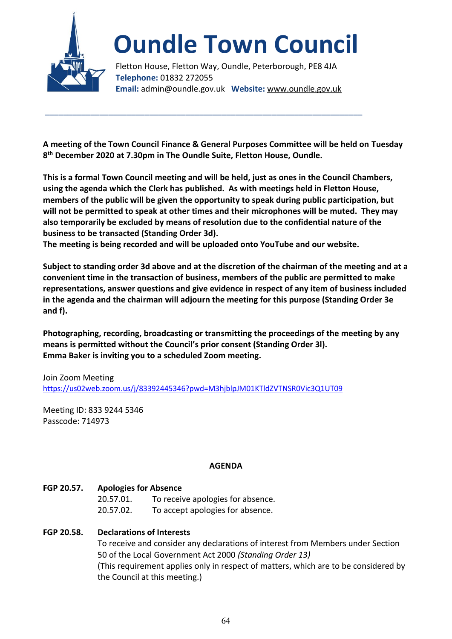

# **Oundle Town Council**

Fletton House, Fletton Way, Oundle, Peterborough, PE8 4JA **Telephone:** 01832 272055 **Email:** admin@oundle.gov.uk **Website:** www.oundle.gov.uk

**A meeting of the Town Council Finance & General Purposes Committee will be held on Tuesday 8 th December 2020 at 7.30pm in The Oundle Suite, Fletton House, Oundle.**

\_\_\_\_\_\_\_\_\_\_\_\_\_\_\_\_\_\_\_\_\_\_\_\_\_\_\_\_\_\_\_\_\_\_\_\_\_\_\_\_\_\_\_\_\_\_\_\_\_\_\_\_\_\_\_\_\_\_\_\_\_\_\_\_\_\_\_\_\_\_

**This is a formal Town Council meeting and will be held, just as ones in the Council Chambers, using the agenda which the Clerk has published. As with meetings held in Fletton House, members of the public will be given the opportunity to speak during public participation, but will not be permitted to speak at other times and their microphones will be muted. They may also temporarily be excluded by means of resolution due to the confidential nature of the business to be transacted (Standing Order 3d).** 

**The meeting is being recorded and will be uploaded onto YouTube and our website.** 

**Subject to standing order 3d above and at the discretion of the chairman of the meeting and at a convenient time in the transaction of business, members of the public are permitted to make representations, answer questions and give evidence in respect of any item of business included in the agenda and the chairman will adjourn the meeting for this purpose (Standing Order 3e and f).**

**Photographing, recording, broadcasting or transmitting the proceedings of the meeting by any means is permitted without the Council's prior consent (Standing Order 3l). Emma Baker is inviting you to a scheduled Zoom meeting.**

Join Zoom Meeting <https://us02web.zoom.us/j/83392445346?pwd=M3hjblpJM01KTldZVTNSR0Vic3Q1UT09>

Meeting ID: 833 9244 5346 Passcode: 714973

## **AGENDA**

## **FGP 20.57. Apologies for Absence**

 20.57.01. To receive apologies for absence. 20.57.02. To accept apologies for absence.

## **FGP 20.58. Declarations of Interests**

To receive and consider any declarations of interest from Members under Section 50 of the Local Government Act 2000 *(Standing Order 13)* (This requirement applies only in respect of matters, which are to be considered by the Council at this meeting.)